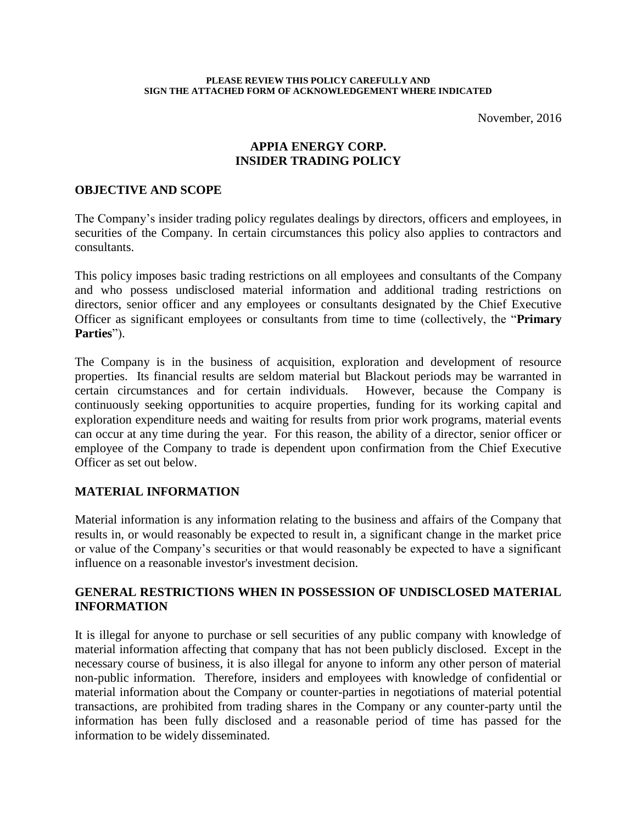#### **PLEASE REVIEW THIS POLICY CAREFULLY AND SIGN THE ATTACHED FORM OF ACKNOWLEDGEMENT WHERE INDICATED**

November, 2016

# **APPIA ENERGY CORP. INSIDER TRADING POLICY**

#### **OBJECTIVE AND SCOPE**

The Company's insider trading policy regulates dealings by directors, officers and employees, in securities of the Company. In certain circumstances this policy also applies to contractors and consultants.

This policy imposes basic trading restrictions on all employees and consultants of the Company and who possess undisclosed material information and additional trading restrictions on directors, senior officer and any employees or consultants designated by the Chief Executive Officer as significant employees or consultants from time to time (collectively, the "**Primary Parties**").

The Company is in the business of acquisition, exploration and development of resource properties. Its financial results are seldom material but Blackout periods may be warranted in certain circumstances and for certain individuals. However, because the Company is continuously seeking opportunities to acquire properties, funding for its working capital and exploration expenditure needs and waiting for results from prior work programs, material events can occur at any time during the year. For this reason, the ability of a director, senior officer or employee of the Company to trade is dependent upon confirmation from the Chief Executive Officer as set out below.

#### **MATERIAL INFORMATION**

Material information is any information relating to the business and affairs of the Company that results in, or would reasonably be expected to result in, a significant change in the market price or value of the Company's securities or that would reasonably be expected to have a significant influence on a reasonable investor's investment decision.

# **GENERAL RESTRICTIONS WHEN IN POSSESSION OF UNDISCLOSED MATERIAL INFORMATION**

It is illegal for anyone to purchase or sell securities of any public company with knowledge of material information affecting that company that has not been publicly disclosed. Except in the necessary course of business, it is also illegal for anyone to inform any other person of material non-public information. Therefore, insiders and employees with knowledge of confidential or material information about the Company or counter-parties in negotiations of material potential transactions, are prohibited from trading shares in the Company or any counter-party until the information has been fully disclosed and a reasonable period of time has passed for the information to be widely disseminated.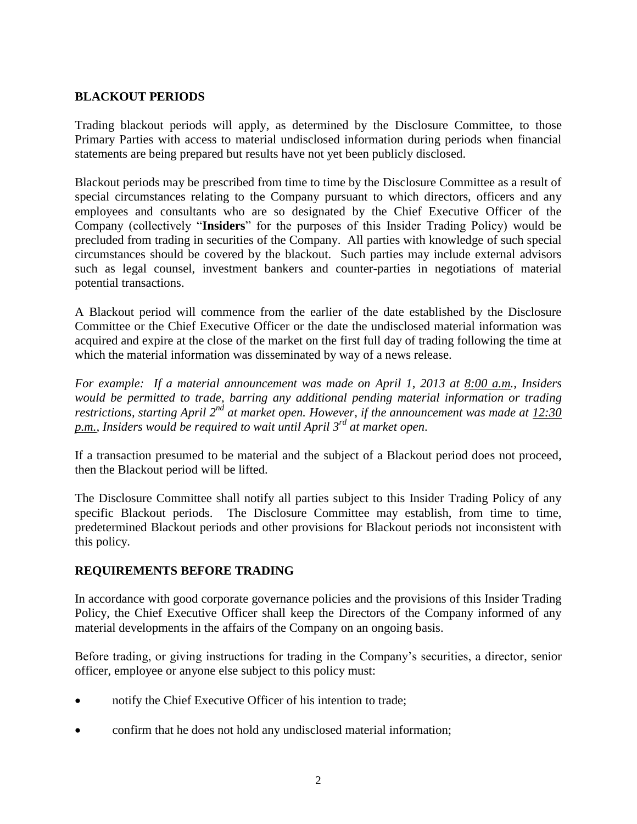# **BLACKOUT PERIODS**

Trading blackout periods will apply, as determined by the Disclosure Committee, to those Primary Parties with access to material undisclosed information during periods when financial statements are being prepared but results have not yet been publicly disclosed.

Blackout periods may be prescribed from time to time by the Disclosure Committee as a result of special circumstances relating to the Company pursuant to which directors, officers and any employees and consultants who are so designated by the Chief Executive Officer of the Company (collectively "**Insiders**" for the purposes of this Insider Trading Policy) would be precluded from trading in securities of the Company. All parties with knowledge of such special circumstances should be covered by the blackout. Such parties may include external advisors such as legal counsel, investment bankers and counter-parties in negotiations of material potential transactions.

A Blackout period will commence from the earlier of the date established by the Disclosure Committee or the Chief Executive Officer or the date the undisclosed material information was acquired and expire at the close of the market on the first full day of trading following the time at which the material information was disseminated by way of a news release.

*For example: If a material announcement was made on April 1, 2013 at 8:00 a.m., Insiders would be permitted to trade, barring any additional pending material information or trading restrictions, starting April 2<sup>nd</sup> at market open. However, if the announcement was made at 12:30 p.m., Insiders would be required to wait until April 3 rd at market open*.

If a transaction presumed to be material and the subject of a Blackout period does not proceed, then the Blackout period will be lifted.

The Disclosure Committee shall notify all parties subject to this Insider Trading Policy of any specific Blackout periods. The Disclosure Committee may establish, from time to time, predetermined Blackout periods and other provisions for Blackout periods not inconsistent with this policy.

# **REQUIREMENTS BEFORE TRADING**

In accordance with good corporate governance policies and the provisions of this Insider Trading Policy, the Chief Executive Officer shall keep the Directors of the Company informed of any material developments in the affairs of the Company on an ongoing basis.

Before trading, or giving instructions for trading in the Company's securities, a director, senior officer, employee or anyone else subject to this policy must:

- notify the Chief Executive Officer of his intention to trade;
- confirm that he does not hold any undisclosed material information;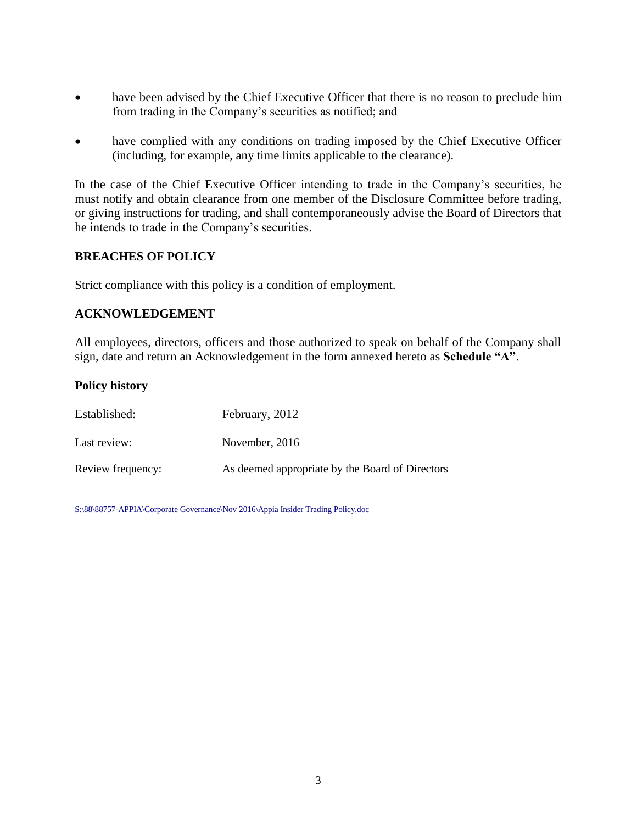- have been advised by the Chief Executive Officer that there is no reason to preclude him from trading in the Company's securities as notified; and
- have complied with any conditions on trading imposed by the Chief Executive Officer (including, for example, any time limits applicable to the clearance).

In the case of the Chief Executive Officer intending to trade in the Company's securities, he must notify and obtain clearance from one member of the Disclosure Committee before trading, or giving instructions for trading, and shall contemporaneously advise the Board of Directors that he intends to trade in the Company's securities.

# **BREACHES OF POLICY**

Strict compliance with this policy is a condition of employment.

# **ACKNOWLEDGEMENT**

All employees, directors, officers and those authorized to speak on behalf of the Company shall sign, date and return an Acknowledgement in the form annexed hereto as **Schedule "A"**.

# **Policy history**

| Established:      | February, 2012                                  |
|-------------------|-------------------------------------------------|
| Last review:      | November, 2016                                  |
| Review frequency: | As deemed appropriate by the Board of Directors |

S:\88\88757-APPIA\Corporate Governance\Nov 2016\Appia Insider Trading Policy.doc